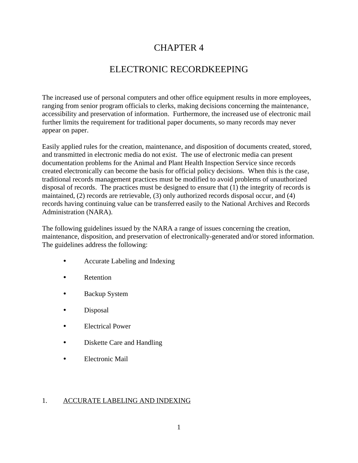# CHAPTER 4

# ELECTRONIC RECORDKEEPING

The increased use of personal computers and other office equipment results in more employees, ranging from senior program officials to clerks, making decisions concerning the maintenance, accessibility and preservation of information. Furthermore, the increased use of electronic mail further limits the requirement for traditional paper documents, so many records may never appear on paper.

Easily applied rules for the creation, maintenance, and disposition of documents created, stored, and transmitted in electronic media do not exist. The use of electronic media can present documentation problems for the Animal and Plant Health Inspection Service since records created electronically can become the basis for official policy decisions. When this is the case, traditional records management practices must be modified to avoid problems of unauthorized disposal of records. The practices must be designed to ensure that (1) the integrity of records is maintained, (2) records are retrievable, (3) only authorized records disposal occur, and (4) records having continuing value can be transferred easily to the National Archives and Records Administration (NARA).

The following guidelines issued by the NARA a range of issues concerning the creation, maintenance, disposition, and preservation of electronically-generated and/or stored information. The guidelines address the following:

- Accurate Labeling and Indexing
- Retention
- Backup System
- Disposal
- Electrical Power
- Diskette Care and Handling
- Electronic Mail

### 1. ACCURATE LABELING AND INDEXING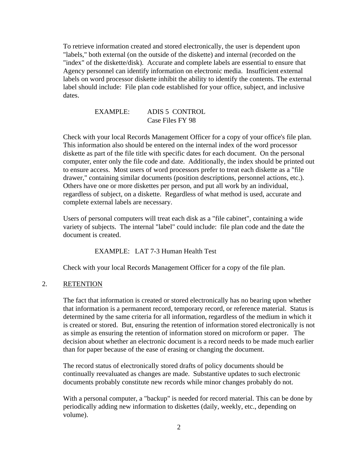To retrieve information created and stored electronically, the user is dependent upon "labels," both external (on the outside of the diskette) and internal (recorded on the "index" of the diskette/disk). Accurate and complete labels are essential to ensure that Agency personnel can identify information on electronic media. Insufficient external labels on word processor diskette inhibit the ability to identify the contents. The external label should include: File plan code established for your office, subject, and inclusive dates.

## EXAMPLE: ADIS 5 CONTROL Case Files FY 98

Check with your local Records Management Officer for a copy of your office's file plan. This information also should be entered on the internal index of the word processor diskette as part of the file title with specific dates for each document. On the personal computer, enter only the file code and date. Additionally, the index should be printed out to ensure access. Most users of word processors prefer to treat each diskette as a "file drawer," containing similar documents (position descriptions, personnel actions, etc.). Others have one or more diskettes per person, and put all work by an individual, regardless of subject, on a diskette. Regardless of what method is used, accurate and complete external labels are necessary.

Users of personal computers will treat each disk as a "file cabinet", containing a wide variety of subjects. The internal "label" could include: file plan code and the date the document is created.

EXAMPLE: LAT 7-3 Human Health Test

Check with your local Records Management Officer for a copy of the file plan.

### 2. RETENTION

The fact that information is created or stored electronically has no bearing upon whether that information is a permanent record, temporary record, or reference material. Status is determined by the same criteria for all information, regardless of the medium in which it is created or stored. But, ensuring the retention of information stored electronically is not as simple as ensuring the retention of information stored on microform or paper. The decision about whether an electronic document is a record needs to be made much earlier than for paper because of the ease of erasing or changing the document.

The record status of electronically stored drafts of policy documents should be continually reevaluated as changes are made. Substantive updates to such electronic documents probably constitute new records while minor changes probably do not.

With a personal computer, a "backup" is needed for record material. This can be done by periodically adding new information to diskettes (daily, weekly, etc., depending on volume).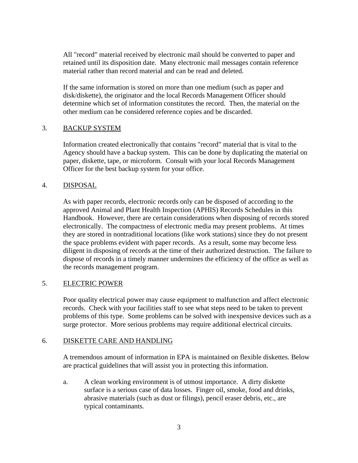All "record" material received by electronic mail should be converted to paper and retained until its disposition date. Many electronic mail messages contain reference material rather than record material and can be read and deleted.

If the same information is stored on more than one medium (such as paper and disk/diskette), the originator and the local Records Management Officer should determine which set of information constitutes the record. Then, the material on the other medium can be considered reference copies and be discarded.

### 3. BACKUP SYSTEM

Information created electronically that contains "record" material that is vital to the Agency should have a backup system. This can be done by duplicating the material on paper, diskette, tape, or microform. Consult with your local Records Management Officer for the best backup system for your office.

#### 4. DISPOSAL

As with paper records, electronic records only can be disposed of according to the approved Animal and Plant Health Inspection (APHIS) Records Schedules in this Handbook. However, there are certain considerations when disposing of records stored electronically. The compactness of electronic media may present problems. At times they are stored in nontraditional locations (like work stations) since they do not present the space problems evident with paper records. As a result, some may become less diligent in disposing of records at the time of their authorized destruction. The failure to dispose of records in a timely manner undermines the efficiency of the office as well as the records management program.

### 5. ELECTRIC POWER

Poor quality electrical power may cause equipment to malfunction and affect electronic records. Check with your facilities staff to see what steps need to be taken to prevent problems of this type. Some problems can be solved with inexpensive devices such as a surge protector. More serious problems may require additional electrical circuits.

### 6. DISKETTE CARE AND HANDLING

A tremendous amount of information in EPA is maintained on flexible diskettes. Below are practical guidelines that will assist you in protecting this information.

a. A clean working environment is of utmost importance. A dirty diskette surface is a serious case of data losses. Finger oil, smoke, food and drinks, abrasive materials (such as dust or filings), pencil eraser debris, etc., are typical contaminants.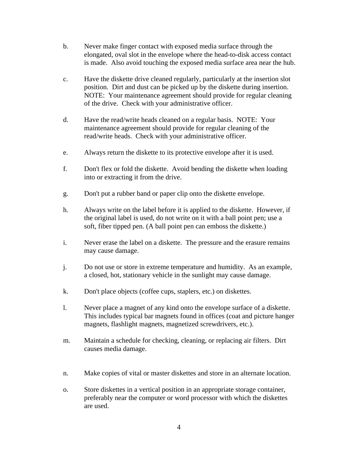- b. Never make finger contact with exposed media surface through the elongated, oval slot in the envelope where the head-to-disk access contact is made. Also avoid touching the exposed media surface area near the hub.
- c. Have the diskette drive cleaned regularly, particularly at the insertion slot position. Dirt and dust can be picked up by the diskette during insertion. NOTE: Your maintenance agreement should provide for regular cleaning of the drive. Check with your administrative officer.
- d. Have the read/write heads cleaned on a regular basis. NOTE: Your maintenance agreement should provide for regular cleaning of the read/write heads. Check with your administrative officer.
- e. Always return the diskette to its protective envelope after it is used.
- f. Don't flex or fold the diskette. Avoid bending the diskette when loading into or extracting it from the drive.
- g. Don't put a rubber band or paper clip onto the diskette envelope.
- h. Always write on the label before it is applied to the diskette. However, if the original label is used, do not write on it with a ball point pen; use a soft, fiber tipped pen. (A ball point pen can emboss the diskette.)
- i. Never erase the label on a diskette. The pressure and the erasure remains may cause damage.
- j. Do not use or store in extreme temperature and humidity. As an example, a closed, hot, stationary vehicle in the sunlight may cause damage.
- k. Don't place objects (coffee cups, staplers, etc.) on diskettes.
- l. Never place a magnet of any kind onto the envelope surface of a diskette. This includes typical bar magnets found in offices (coat and picture hanger magnets, flashlight magnets, magnetized screwdrivers, etc.).
- m. Maintain a schedule for checking, cleaning, or replacing air filters. Dirt causes media damage.
- n. Make copies of vital or master diskettes and store in an alternate location.
- o. Store diskettes in a vertical position in an appropriate storage container, preferably near the computer or word processor with which the diskettes are used.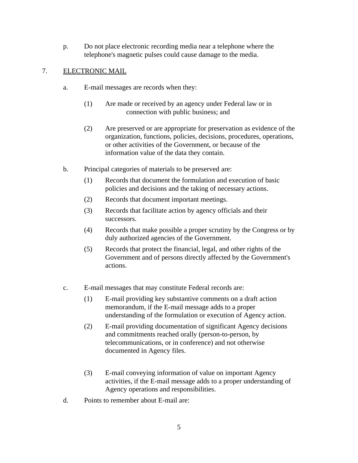p. Do not place electronic recording media near a telephone where the telephone's magnetic pulses could cause damage to the media.

## 7. ELECTRONIC MAIL

- a. E-mail messages are records when they:
	- (1) Are made or received by an agency under Federal law or in connection with public business; and
	- (2) Are preserved or are appropriate for preservation as evidence of the organization, functions, policies, decisions, procedures, operations, or other activities of the Government, or because of the information value of the data they contain.
- b. Principal categories of materials to be preserved are:
	- (1) Records that document the formulation and execution of basic policies and decisions and the taking of necessary actions.
	- (2) Records that document important meetings.
	- (3) Records that facilitate action by agency officials and their successors.
	- (4) Records that make possible a proper scrutiny by the Congress or by duly authorized agencies of the Government.
	- (5) Records that protect the financial, legal, and other rights of the Government and of persons directly affected by the Government's actions.
- c. E-mail messages that may constitute Federal records are:
	- (1) E-mail providing key substantive comments on a draft action memorandum, if the E-mail message adds to a proper understanding of the formulation or execution of Agency action.
	- (2) E-mail providing documentation of significant Agency decisions and commitments reached orally (person-to-person, by telecommunications, or in conference) and not otherwise documented in Agency files.
	- (3) E-mail conveying information of value on important Agency activities, if the E-mail message adds to a proper understanding of Agency operations and responsibilities.
- d. Points to remember about E-mail are: